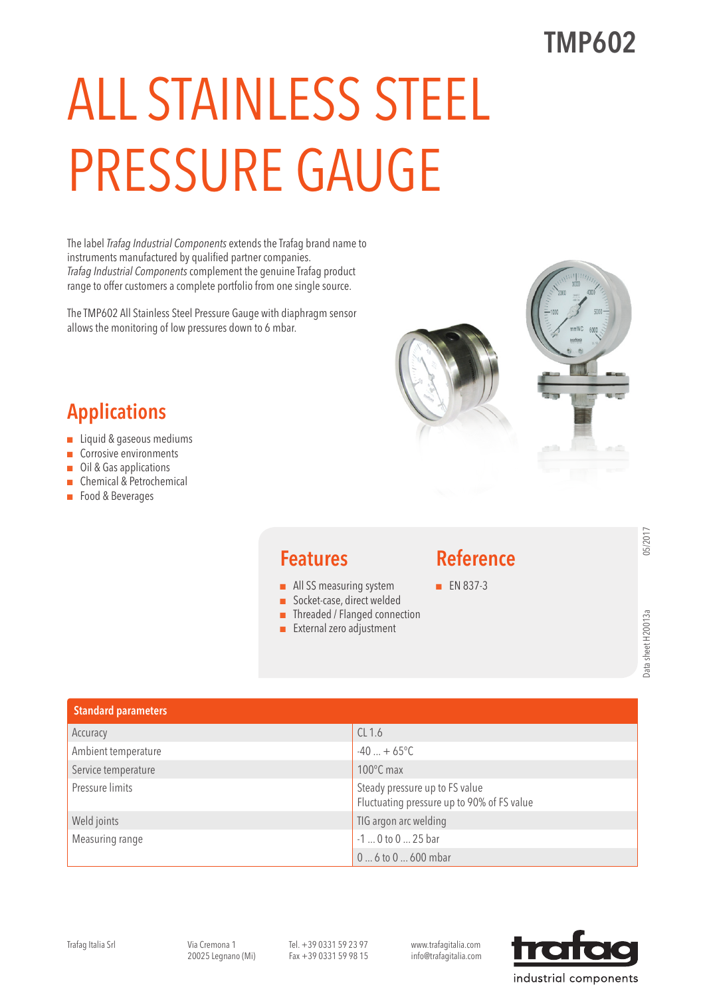# ALL STAINLESS STEEL PRESSURE GAUGE

The label *Trafag Industrial Components* extends the Trafag brand name to instruments manufactured by qualified partner companies. *Trafag Industrial Components* complement the genuine Trafag product range to offer customers a complete portfolio from one single source.

The TMP602 All Stainless Steel Pressure Gauge with diaphragm sensor allows the monitoring of low pressures down to 6 mbar.



### Applications

- Liquid & gaseous mediums
- Corrosive environments
- Oil & Gas applications
- Chemical & Petrochemical
- Food & Beverages



#### Features

- All SS measuring system
- Socket-case, direct welded
- Threaded / Flanged connection
- External zero adjustment

#### Reference

■ EN 837-3

| <b>Standard parameters</b> |                                                                              |
|----------------------------|------------------------------------------------------------------------------|
| Accuracy                   | CL1.6                                                                        |
| Ambient temperature        | $-40 + 65^{\circ}C$                                                          |
| Service temperature        | $100^{\circ}$ C max                                                          |
| Pressure limits            | Steady pressure up to FS value<br>Fluctuating pressure up to 90% of FS value |
| Weld joints                | TIG argon arc welding                                                        |
| Measuring range            | -1  0 to 0  25 bar                                                           |
|                            | $0 6$ to $0 600$ mbar                                                        |

Trafag Italia Srl Via Cremona 1 20025 Legnano (Mi)

Tel. +39 0331 59 23 97 Fax +39 0331 59 98 15 www.trafagitalia.com info@trafagitalia.com

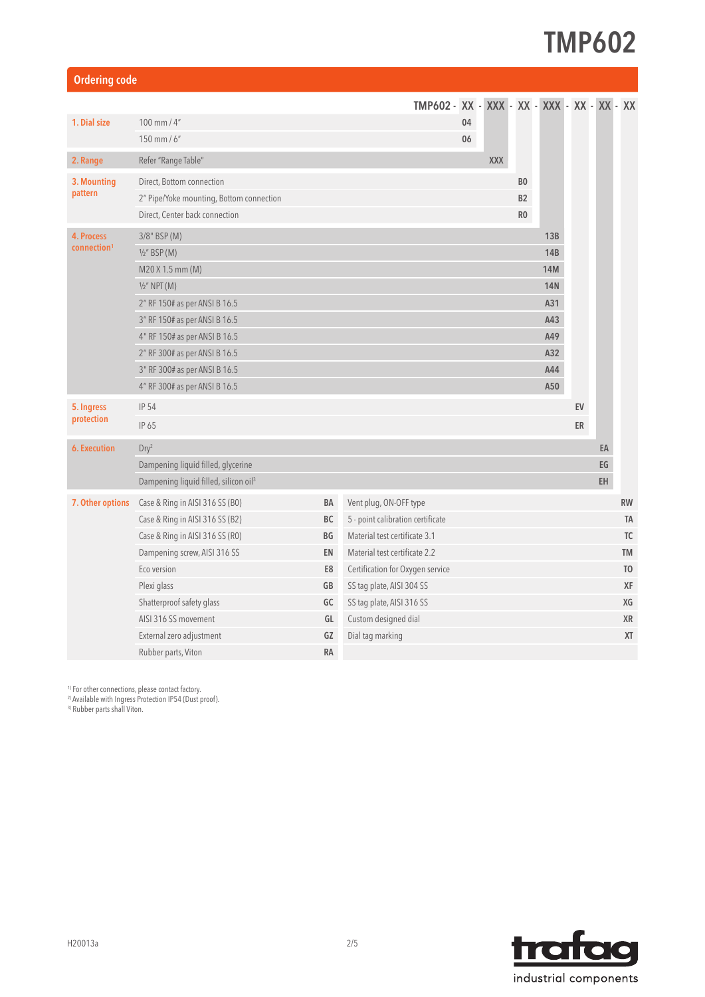| <b>Ordering code</b>                              |    |                                   |    |            |                |            |            |    |                                             |
|---------------------------------------------------|----|-----------------------------------|----|------------|----------------|------------|------------|----|---------------------------------------------|
|                                                   |    |                                   |    |            |                |            |            |    |                                             |
| 100 mm / $4"$                                     |    |                                   | 04 |            |                |            |            |    |                                             |
| 150 mm / $6"$                                     | 06 |                                   |    |            |                |            |            |    |                                             |
| Refer "Range Table"                               |    |                                   |    | <b>XXX</b> |                |            |            |    |                                             |
| Direct, Bottom connection                         |    |                                   |    |            | B <sub>0</sub> |            |            |    |                                             |
| 2" Pipe/Yoke mounting, Bottom connection          |    |                                   |    |            | B2             |            |            |    |                                             |
| Direct, Center back connection                    |    |                                   |    |            | R <sub>0</sub> |            |            |    |                                             |
| 3/8" BSP (M)                                      |    |                                   |    |            |                | 13B        |            |    |                                             |
| $1/2$ " BSP (M)                                   |    |                                   |    |            |                | <b>14B</b> |            |    |                                             |
| M20 X 1.5 mm (M)                                  |    |                                   |    |            |                | <b>14M</b> |            |    |                                             |
| $\frac{1}{2}$ " NPT (M)                           |    |                                   |    |            |                | <b>14N</b> |            |    |                                             |
| 2" RF 150# as per ANSI B 16.5                     |    |                                   |    |            |                | A31        |            |    |                                             |
| 3" RF 150# as per ANSI B 16.5                     |    |                                   |    |            |                | A43        |            |    |                                             |
| 4" RF 150# as per ANSI B 16.5                     |    |                                   |    |            |                |            |            |    |                                             |
| 2" RF 300# as per ANSI B 16.5                     |    |                                   |    |            |                |            |            |    |                                             |
| 3" RF 300# as per ANSI B 16.5                     |    |                                   |    |            |                | A44        |            |    |                                             |
| 4" RF 300# as per ANSI B 16.5                     |    |                                   |    |            |                | A50        |            |    |                                             |
| <b>IP 54</b>                                      |    |                                   |    |            |                |            | EV         |    |                                             |
| IP 65                                             |    |                                   |    |            |                |            | ER         |    |                                             |
| Dry <sup>2</sup>                                  |    |                                   |    |            |                |            |            | EA |                                             |
| Dampening liquid filled, glycerine                |    |                                   |    |            |                |            |            | EG |                                             |
| Dampening liquid filled, silicon oil <sup>3</sup> |    |                                   |    |            |                |            |            | EH |                                             |
| Case & Ring in AISI 316 SS (BO)                   | BA | Vent plug, ON-OFF type            |    |            |                |            |            |    | <b>RW</b>                                   |
| Case & Ring in AISI 316 SS (B2)                   | BC | 5 - point calibration certificate |    |            |                |            |            |    | TA                                          |
| Case & Ring in AISI 316 SS (RO)                   | BG | Material test certificate 3.1     |    |            |                |            |            |    | TC                                          |
| Dampening screw, AISI 316 SS                      | EN | Material test certificate 2.2     |    |            |                |            |            |    | <b>TM</b>                                   |
| Eco version                                       | E8 | Certification for Oxygen service  |    |            |                |            |            |    | T <sub>0</sub>                              |
| Plexi glass                                       | GB | SS tag plate, AISI 304 SS         |    |            |                |            |            |    | XF                                          |
| Shatterproof safety glass                         | GC | SS tag plate, AISI 316 SS         |    |            |                |            |            |    | XG                                          |
| AISI 316 SS movement                              | GL | Custom designed dial              |    |            |                |            |            |    | XR                                          |
| External zero adjustment                          | GZ | Dial tag marking                  |    |            |                |            |            |    | XT                                          |
| Rubber parts, Viton                               | RA |                                   |    |            |                |            |            |    |                                             |
|                                                   |    |                                   |    |            |                |            | A49<br>A32 |    | TMP602 - XX - XXX - XX - XXX - XX - XX - XX |

<sup>1)</sup> For other connections, please contact factory.

2) Available with Ingress Protection IP54 (Dust proof).

3) Rubber parts shall Viton.

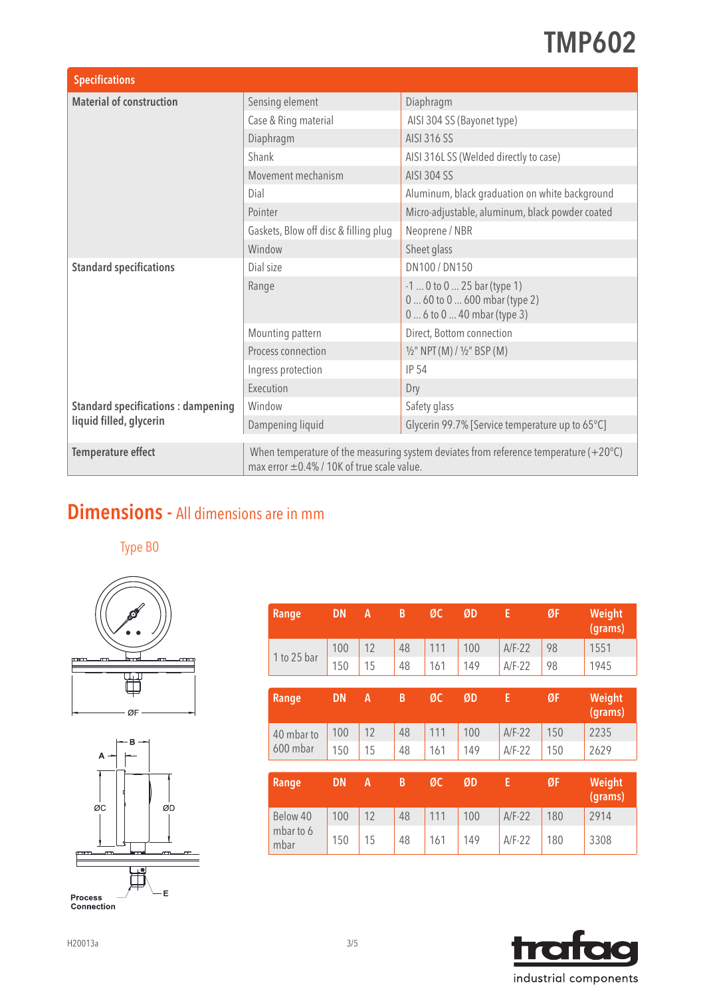| <b>Specifications</b>                     |                                                                                                                                                     |                                                                                              |  |  |  |  |  |
|-------------------------------------------|-----------------------------------------------------------------------------------------------------------------------------------------------------|----------------------------------------------------------------------------------------------|--|--|--|--|--|
| <b>Material of construction</b>           | Sensing element                                                                                                                                     | Diaphragm                                                                                    |  |  |  |  |  |
|                                           | Case & Ring material                                                                                                                                | AISI 304 SS (Bayonet type)                                                                   |  |  |  |  |  |
|                                           | Diaphragm                                                                                                                                           | AISI 316 SS                                                                                  |  |  |  |  |  |
|                                           | Shank                                                                                                                                               | AISI 316LSS (Welded directly to case)                                                        |  |  |  |  |  |
|                                           | Movement mechanism                                                                                                                                  | AISI 304 SS                                                                                  |  |  |  |  |  |
|                                           | Dial                                                                                                                                                | Aluminum, black graduation on white background                                               |  |  |  |  |  |
|                                           | Pointer                                                                                                                                             | Micro-adjustable, aluminum, black powder coated                                              |  |  |  |  |  |
|                                           | Gaskets, Blow off disc & filling plug                                                                                                               | Neoprene / NBR                                                                               |  |  |  |  |  |
|                                           | Window                                                                                                                                              | Sheet glass                                                                                  |  |  |  |  |  |
| <b>Standard specifications</b>            | Dial size                                                                                                                                           | DN100 / DN150                                                                                |  |  |  |  |  |
|                                           | Range                                                                                                                                               | $-1$ 0 to 0  25 bar (type 1)<br>0  60 to 0  600 mbar (type 2)<br>0  6 to 0  40 mbar (type 3) |  |  |  |  |  |
|                                           | Mounting pattern                                                                                                                                    | Direct, Bottom connection                                                                    |  |  |  |  |  |
|                                           | Process connection                                                                                                                                  | $1/2$ " NPT (M) / $1/2$ " BSP (M)                                                            |  |  |  |  |  |
|                                           | Ingress protection                                                                                                                                  | <b>IP 54</b>                                                                                 |  |  |  |  |  |
|                                           | Execution                                                                                                                                           | Dry                                                                                          |  |  |  |  |  |
| <b>Standard specifications: dampening</b> | Window                                                                                                                                              | Safety glass                                                                                 |  |  |  |  |  |
| liquid filled, glycerin                   | Dampening liquid                                                                                                                                    | Glycerin 99.7% [Service temperature up to 65°C]                                              |  |  |  |  |  |
| <b>Temperature effect</b>                 | When temperature of the measuring system deviates from reference temperature (+20 $^{\circ}$ C)<br>max error $\pm 0.4\%$ / 10K of true scale value. |                                                                                              |  |  |  |  |  |

#### Dimensions - All dimensions are in mm

Type B0





| Range             | <b>DN</b> | A  | B  | ØC  | ØD  | E        | ØF  | Weight<br>(grams) |
|-------------------|-----------|----|----|-----|-----|----------|-----|-------------------|
| 1 to 25 bar       | 100       | 12 | 48 | 111 | 100 | $A/F-22$ | 98  | 1551              |
|                   | 150       | 15 | 48 | 161 | 149 | $A/F-22$ | 98  | 1945              |
|                   |           |    |    |     |     |          |     |                   |
| Range             | <b>DN</b> | A  | B  | ØC  | ØD  | E        | ØF  | Weight<br>(grams) |
| 40 mbar to        | 100       | 12 | 48 | 111 | 100 | $A/F-22$ | 150 | 2235              |
| 600 mbar          | 150       | 15 | 48 | 161 | 149 | $A/F-22$ | 150 | 2629              |
|                   |           |    |    |     |     |          |     |                   |
| Range             | <b>DN</b> | A  | B  | ØC  | ØD  | E        | ØF  | Weight<br>(grams) |
| Below 40          | 100       | 12 | 48 | 111 | 100 | $A/F-22$ | 180 | 2914              |
| mbar to 6<br>mbar | 150       | 15 | 48 | 161 | 149 | $A/F-22$ | 180 | 3308              |

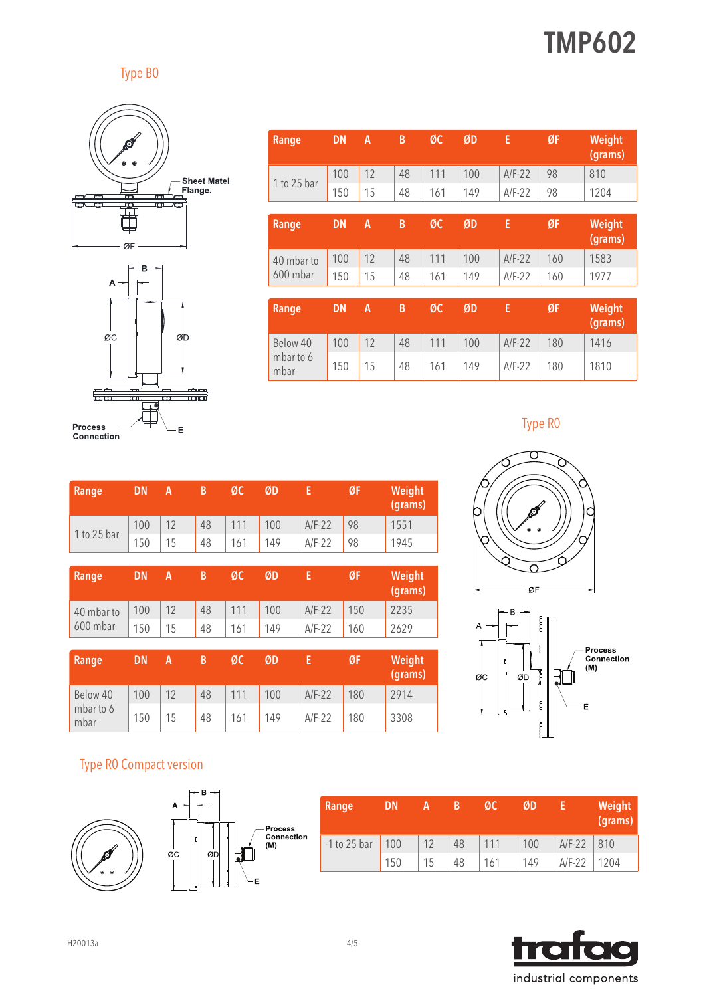Type B0



Ė

| Range             | <b>DN</b> | A  | B  | ØC  | ØD  | E        | ØF  | Weight<br>(grams) |
|-------------------|-----------|----|----|-----|-----|----------|-----|-------------------|
| 1 to 25 bar       | 100       | 12 | 48 | 111 | 100 | $A/F-22$ | 98  | 810               |
|                   | 150       | 15 | 48 | 161 | 149 | $A/F-22$ | 98  | 1204              |
|                   |           |    |    |     |     |          |     |                   |
| Range             | <b>DN</b> | A  | B  | ØC  | ØD  | E        | ØF  | Weight<br>(grams) |
| 40 mbar to        | 100       | 12 | 48 | 111 | 100 | $A/F-22$ | 160 | 1583              |
| 600 mbar          | 150       | 15 | 48 | 161 | 149 | $A/F-22$ | 160 | 1977              |
|                   |           |    |    |     |     |          |     |                   |
| Range             | <b>DN</b> | A  | B  | ØC  | ØD  | E        | ØF  | Weight<br>(grams) |
| Below 40          | 100       | 12 | 48 | 111 | 100 | $A/F-22$ | 180 | 1416              |
| mbar to 6<br>mbar | 150       | 15 | 48 | 161 | 149 | $A/F-22$ | 180 | 1810              |

| <b>Process</b> |  |
|----------------|--|
| Connection     |  |

 $\sim$ 

| Range             | <b>DN</b> | A  | B  | ØC  | ØD  | E        | ØF  | Weight<br>(grams) |
|-------------------|-----------|----|----|-----|-----|----------|-----|-------------------|
| 1 to 25 bar       | 100       | 12 | 48 | 111 | 100 | $A/F-22$ | 98  | 1551              |
|                   | 150       | 15 | 48 | 161 | 149 | $A/F-22$ | 98  | 1945              |
|                   |           |    |    |     |     |          |     |                   |
| Range             | <b>DN</b> | A  | B  | ØC  | ØD  | E        | ØF  | Weight<br>(grams) |
| 40 mbar to        | 100       | 12 | 48 | 111 | 100 | $A/F-22$ | 150 | 2235              |
| 600 mbar          | 150       | 15 | 48 | 161 | 149 | $A/F-22$ | 160 | 2629              |
|                   |           |    |    |     |     |          |     |                   |
| Range             | <b>DN</b> | A  | B  | ØC  | ØD  | E        | ØF  | Weight<br>(grams) |
| Below 40          | 100       | 12 | 48 | 111 | 100 | $A/F-22$ | 180 | 2914              |
| mbar to 6<br>mbar | 150       | 15 | 48 | 161 | 149 | $A/F-22$ | 180 | 3308              |







#### Type R0 Compact version





| Range          | DΝ  |    |    | MU  | ØD  |              | Weight<br>(grams) |
|----------------|-----|----|----|-----|-----|--------------|-------------------|
| $-1$ to 25 bar | 100 | 12 | 48 | 111 | 100 | $A/F-22$ 810 |                   |
|                | 150 | 15 | 48 | 161 | 149 | $A/F-22$     | 1204              |